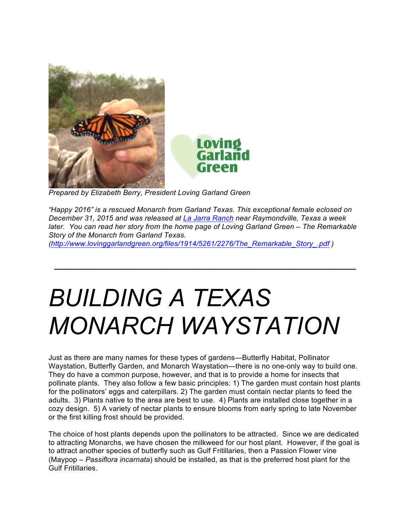



 *Prepared by Elizabeth Berry, President Loving Garland Green*

*"Happy 2016" is a rescued Monarch from Garland Texas. This exceptional female eclosed on December 31, 2015 and was released at La Jarra Ranch near Raymondville, Texas a week later. You can read her story from the home page of Loving Garland Green – The Remarkable Story of the Monarch from Garland Texas.* 

 $\mathcal{L}_\text{max}$  and  $\mathcal{L}_\text{max}$  and  $\mathcal{L}_\text{max}$  and  $\mathcal{L}_\text{max}$  and  $\mathcal{L}_\text{max}$ 

*(http://www.lovinggarlandgreen.org/files/1914/5261/2276/The\_Remarkable\_Story\_.pdf )* 

# *BUILDING A TEXAS MONARCH WAYSTATION*

Just as there are many names for these types of gardens—Butterfly Habitat, Pollinator Waystation, Butterfly Garden, and Monarch Waystation—there is no one-only way to build one. They do have a common purpose, however, and that is to provide a home for insects that pollinate plants. They also follow a few basic principles: 1) The garden must contain host plants for the pollinators' eggs and caterpillars. 2) The garden must contain nectar plants to feed the adults. 3) Plants native to the area are best to use. 4) Plants are installed close together in a cozy design. 5) A variety of nectar plants to ensure blooms from early spring to late November or the first killing frost should be provided.

The choice of host plants depends upon the pollinators to be attracted. Since we are dedicated to attracting Monarchs, we have chosen the milkweed for our host plant. However, if the goal is to attract another species of butterfly such as Gulf Fritillaries, then a Passion Flower vine (Maypop – *Passiflora incarnata*) should be installed, as that is the preferred host plant for the Gulf Fritillaries.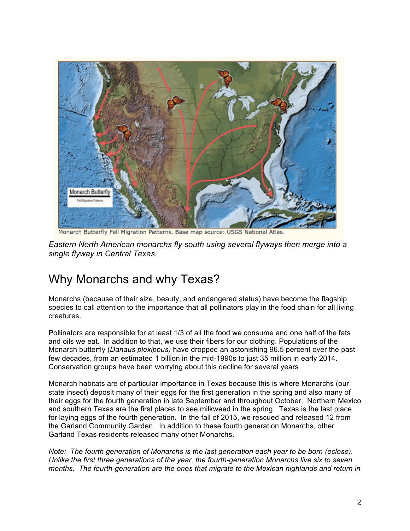

Monarch Butterfly Fall Migration Patterns. Base map source: USGS National Atlas.

*Eastern North American monarchs fly south using several flyways then merge into a single flyway in Central Texas.*

# Why Monarchs and why Texas?

Monarchs (because of their size, beauty, and endangered status) have become the flagship species to call attention to the importance that all pollinators play in the food chain for all living creatures.

Pollinators are responsible for at least 1/3 of all the food we consume and one half of the fats and oils we eat. In addition to that, we use their fibers for our clothing. Populations of the Monarch butterfly (*Danaus plexippus)* have dropped an astonishing 96.5 percent over the past few decades, from an estimated 1 billion in the mid-1990s to just 35 million in early 2014. Conservation groups have been worrying about this decline for several years

Monarch habitats are of particular importance in Texas because this is where Monarchs (our state insect) deposit many of their eggs for the first generation in the spring and also many of their eggs for the fourth generation in late September and throughout October. Northern Mexico and southern Texas are the first places to see milkweed in the spring. Texas is the last place for laying eggs of the fourth generation. In the fall of 2015, we rescued and released 12 from the Garland Community Garden. In addition to these fourth generation Monarchs, other Garland Texas residents released many other Monarchs.

*Note: The fourth generation of Monarchs is the last generation each year to be born (eclose). Unlike the first three generations of the year, the fourth-generation Monarchs live six to seven months. The fourth-generation are the ones that migrate to the Mexican highlands and return in*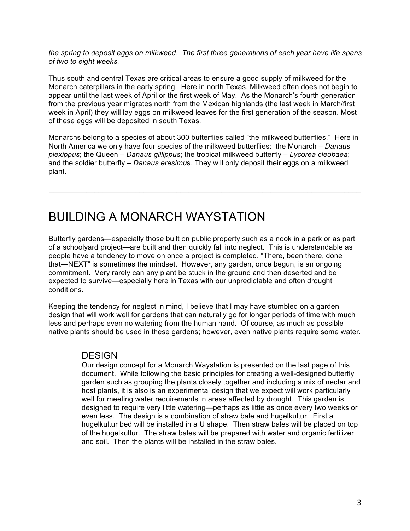*the spring to deposit eggs on milkweed. The first three generations of each year have life spans of two to eight weeks.*

Thus south and central Texas are critical areas to ensure a good supply of milkweed for the Monarch caterpillars in the early spring. Here in north Texas, Milkweed often does not begin to appear until the last week of April or the first week of May. As the Monarch's fourth generation from the previous year migrates north from the Mexican highlands (the last week in March/first week in April) they will lay eggs on milkweed leaves for the first generation of the season. Most of these eggs will be deposited in south Texas.

Monarchs belong to a species of about 300 butterflies called "the milkweed butterflies." Here in North America we only have four species of the milkweed butterflies: the Monarch – *Danaus plexippus*; the Queen – *Danaus gillippus*; the tropical milkweed butterfly – *Lycorea cleobaea*; and the soldier butterfly – *Danaus eresimu*s. They will only deposit their eggs on a milkweed plant.

\_\_\_\_\_\_\_\_\_\_\_\_\_\_\_\_\_\_\_\_\_\_\_\_\_\_\_\_\_\_\_\_\_\_\_\_\_\_\_\_\_\_\_\_\_\_\_\_\_\_\_\_\_\_\_\_\_\_\_\_\_\_\_\_\_\_\_\_\_\_\_\_\_\_\_\_

# BUILDING A MONARCH WAYSTATION

Butterfly gardens—especially those built on public property such as a nook in a park or as part of a schoolyard project—are built and then quickly fall into neglect. This is understandable as people have a tendency to move on once a project is completed. "There, been there, done that—NEXT" is sometimes the mindset. However, any garden, once begun, is an ongoing commitment. Very rarely can any plant be stuck in the ground and then deserted and be expected to survive—especially here in Texas with our unpredictable and often drought conditions.

Keeping the tendency for neglect in mind, I believe that I may have stumbled on a garden design that will work well for gardens that can naturally go for longer periods of time with much less and perhaps even no watering from the human hand. Of course, as much as possible native plants should be used in these gardens; however, even native plants require some water.

# **DESIGN**

Our design concept for a Monarch Waystation is presented on the last page of this document. While following the basic principles for creating a well-designed butterfly garden such as grouping the plants closely together and including a mix of nectar and host plants, it is also is an experimental design that we expect will work particularly well for meeting water requirements in areas affected by drought. This garden is designed to require very little watering—perhaps as little as once every two weeks or even less. The design is a combination of straw bale and hugelkultur. First a hugelkultur bed will be installed in a U shape. Then straw bales will be placed on top of the hugelkultur. The straw bales will be prepared with water and organic fertilizer and soil. Then the plants will be installed in the straw bales.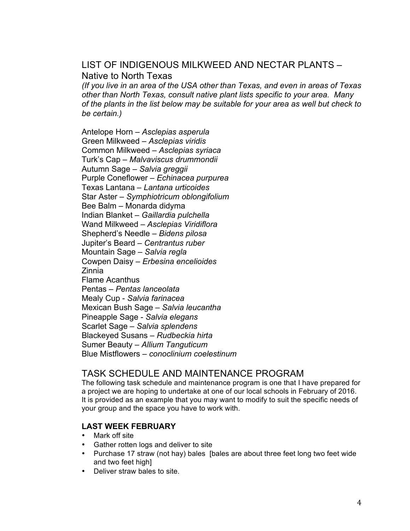# LIST OF INDIGENOUS MILKWEED AND NECTAR PLANTS – Native to North Texas

*(If you live in an area of the USA other than Texas, and even in areas of Texas other than North Texas, consult native plant lists specific to your area. Many of the plants in the list below may be suitable for your area as well but check to be certain.)*

Antelope Horn – *Asclepias asperula* Green Milkweed – *Asclepias viridis* Common Milkweed – *Asclepias syriaca* Turk's Cap – *Malvaviscus drummondii* Autumn Sage – *Salvia greggii* Purple Coneflower – *Echinacea purpurea* Texas Lantana – *Lantana urticoides* Star Aster – *Symphiotricum oblongifolium* Bee Balm – Monarda didyma Indian Blanket – *Gaillardia pulchella* Wand Milkweed – *Asclepias Viridiflora* Shepherd's Needle – *Bidens pilosa* Jupiter's Beard – *Centrantus ruber* Mountain Sage – *Salvia regla* Cowpen Daisy – *Erbesina encelioides* Zinnia Flame Acanthus Pentas – *Pentas lanceolata* Mealy Cup - *Salvia farinacea* Mexican Bush Sage – *Salvia leucantha* Pineapple Sage - *Salvia elegans* Scarlet Sage – *Salvia splendens* Blackeyed Susans – *Rudbeckia hirta* Sumer Beauty – *Allium Tanguticum* Blue Mistflowers – *conoclinium coelestinum*

# TASK SCHEDULE AND MAINTENANCE PROGRAM

The following task schedule and maintenance program is one that I have prepared for a project we are hoping to undertake at one of our local schools in February of 2016. It is provided as an example that you may want to modify to suit the specific needs of your group and the space you have to work with.

# **LAST WEEK FEBRUARY**

- Mark off site
- Gather rotten logs and deliver to site
- Purchase 17 straw (not hay) bales [bales are about three feet long two feet wide and two feet highl
- Deliver straw bales to site.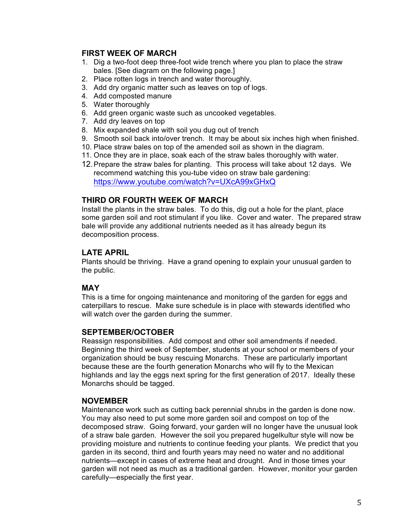# **FIRST WEEK OF MARCH**

- 1. Dig a two-foot deep three-foot wide trench where you plan to place the straw bales. [See diagram on the following page.]
- 2. Place rotten logs in trench and water thoroughly.
- 3. Add dry organic matter such as leaves on top of logs.
- 4. Add composted manure
- 5. Water thoroughly
- 6. Add green organic waste such as uncooked vegetables.
- 7. Add dry leaves on top
- 8. Mix expanded shale with soil you dug out of trench
- 9. Smooth soil back into/over trench. It may be about six inches high when finished.
- 10. Place straw bales on top of the amended soil as shown in the diagram.
- 11. Once they are in place, soak each of the straw bales thoroughly with water.
- 12.Prepare the straw bales for planting. This process will take about 12 days. We recommend watching this you-tube video on straw bale gardening:

https://www.youtube.com/watch?v=UXcA99xGHxQ

## **THIRD OR FOURTH WEEK OF MARCH**

Install the plants in the straw bales. To do this, dig out a hole for the plant, place some garden soil and root stimulant if you like. Cover and water. The prepared straw bale will provide any additional nutrients needed as it has already begun its decomposition process.

# **LATE APRIL**

Plants should be thriving. Have a grand opening to explain your unusual garden to the public.

# **MAY**

This is a time for ongoing maintenance and monitoring of the garden for eggs and caterpillars to rescue. Make sure schedule is in place with stewards identified who will watch over the garden during the summer.

## **SEPTEMBER/OCTOBER**

Reassign responsibilities. Add compost and other soil amendments if needed. Beginning the third week of September, students at your school or members of your organization should be busy rescuing Monarchs. These are particularly important because these are the fourth generation Monarchs who will fly to the Mexican highlands and lay the eggs next spring for the first generation of 2017. Ideally these Monarchs should be tagged.

## **NOVEMBER**

Maintenance work such as cutting back perennial shrubs in the garden is done now. You may also need to put some more garden soil and compost on top of the decomposed straw. Going forward, your garden will no longer have the unusual look of a straw bale garden. However the soil you prepared hugelkultur style will now be providing moisture and nutrients to continue feeding your plants. We predict that you garden in its second, third and fourth years may need no water and no additional nutrients—except in cases of extreme heat and drought. And in those times your garden will not need as much as a traditional garden. However, monitor your garden carefully—especially the first year.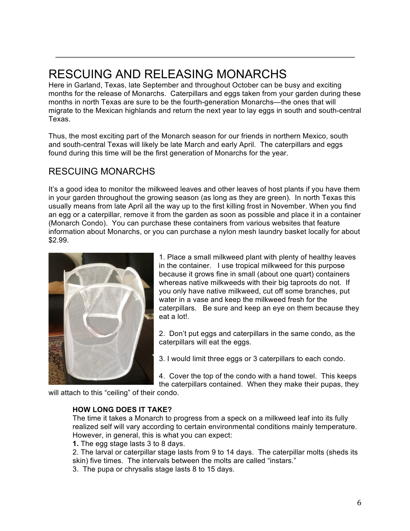# RESCUING AND RELEASING MONARCHS

Here in Garland, Texas, late September and throughout October can be busy and exciting months for the release of Monarchs. Caterpillars and eggs taken from your garden during these months in north Texas are sure to be the fourth-generation Monarchs—the ones that will migrate to the Mexican highlands and return the next year to lay eggs in south and south-central Texas.

 $\mathcal{L}_\text{max} = \mathcal{L}_\text{max} = \mathcal{L}_\text{max} = \mathcal{L}_\text{max} = \mathcal{L}_\text{max} = \mathcal{L}_\text{max} = \mathcal{L}_\text{max} = \mathcal{L}_\text{max} = \mathcal{L}_\text{max} = \mathcal{L}_\text{max} = \mathcal{L}_\text{max} = \mathcal{L}_\text{max} = \mathcal{L}_\text{max} = \mathcal{L}_\text{max} = \mathcal{L}_\text{max} = \mathcal{L}_\text{max} = \mathcal{L}_\text{max} = \mathcal{L}_\text{max} = \mathcal{$ 

Thus, the most exciting part of the Monarch season for our friends in northern Mexico, south and south-central Texas will likely be late March and early April. The caterpillars and eggs found during this time will be the first generation of Monarchs for the year.

# RESCUING MONARCHS

It's a good idea to monitor the milkweed leaves and other leaves of host plants if you have them in your garden throughout the growing season (as long as they are green). In north Texas this usually means from late April all the way up to the first killing frost in November. When you find an egg or a caterpillar, remove it from the garden as soon as possible and place it in a container (Monarch Condo). You can purchase these containers from various websites that feature information about Monarchs, or you can purchase a nylon mesh laundry basket locally for about \$2.99.



1. Place a small milkweed plant with plenty of healthy leaves in the container. I use tropical milkweed for this purpose because it grows fine in small (about one quart) containers whereas native milkweeds with their big taproots do not. If you only have native milkweed, cut off some branches, put water in a vase and keep the milkweed fresh for the caterpillars. Be sure and keep an eye on them because they eat a lot!.

2. Don't put eggs and caterpillars in the same condo, as the caterpillars will eat the eggs.

3. I would limit three eggs or 3 caterpillars to each condo.

4. Cover the top of the condo with a hand towel. This keeps the caterpillars contained. When they make their pupas, they

will attach to this "ceiling" of their condo.

## **HOW LONG DOES IT TAKE?**

The time it takes a Monarch to progress from a speck on a milkweed leaf into its fully realized self will vary according to certain environmental conditions mainly temperature. However, in general, this is what you can expect:

**1.** The egg stage lasts 3 to 8 days.

2. The larval or caterpillar stage lasts from 9 to 14 days. The caterpillar molts (sheds its skin) five times. The intervals between the molts are called "instars."

3. The pupa or chrysalis stage lasts 8 to 15 days.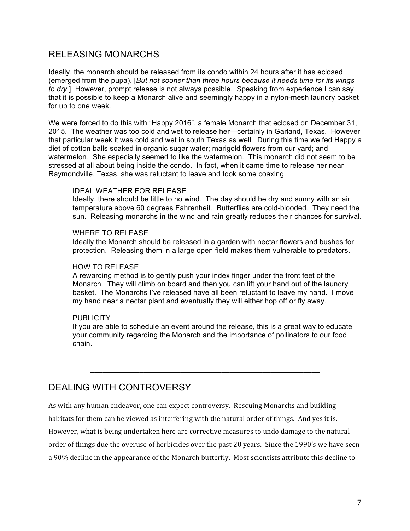# RELEASING MONARCHS

Ideally, the monarch should be released from its condo within 24 hours after it has eclosed (emerged from the pupa). [*But not sooner than three hours because it needs time for its wings to dry.*] However, prompt release is not always possible. Speaking from experience I can say that it is possible to keep a Monarch alive and seemingly happy in a nylon-mesh laundry basket for up to one week.

We were forced to do this with "Happy 2016", a female Monarch that eclosed on December 31, 2015. The weather was too cold and wet to release her—certainly in Garland, Texas. However that particular week it was cold and wet in south Texas as well. During this time we fed Happy a diet of cotton balls soaked in organic sugar water; marigold flowers from our yard; and watermelon. She especially seemed to like the watermelon. This monarch did not seem to be stressed at all about being inside the condo. In fact, when it came time to release her near Raymondville, Texas, she was reluctant to leave and took some coaxing.

#### IDEAL WEATHER FOR RELEASE

Ideally, there should be little to no wind. The day should be dry and sunny with an air temperature above 60 degrees Fahrenheit. Butterflies are cold-blooded. They need the sun. Releasing monarchs in the wind and rain greatly reduces their chances for survival.

#### WHERE TO RELEASE

Ideally the Monarch should be released in a garden with nectar flowers and bushes for protection. Releasing them in a large open field makes them vulnerable to predators.

#### HOW TO RELEASE

A rewarding method is to gently push your index finger under the front feet of the Monarch. They will climb on board and then you can lift your hand out of the laundry basket. The Monarchs I've released have all been reluctant to leave my hand. I move my hand near a nectar plant and eventually they will either hop off or fly away.

#### **PUBLICITY**

If you are able to schedule an event around the release, this is a great way to educate your community regarding the Monarch and the importance of pollinators to our food chain.

\_\_\_\_\_\_\_\_\_\_\_\_\_\_\_\_\_\_\_\_\_\_\_\_\_\_\_\_\_\_\_\_\_\_\_\_\_\_\_\_\_\_\_\_\_\_\_\_\_\_\_\_\_\_\_\_

# DEALING WITH CONTROVERSY

As with any human endeavor, one can expect controversy. Rescuing Monarchs and building habitats for them can be viewed as interfering with the natural order of things. And yes it is.

However, what is being undertaken here are corrective measures to undo damage to the natural order of things due the overuse of herbicides over the past 20 years. Since the 1990's we have seen a 90% decline in the appearance of the Monarch butterfly. Most scientists attribute this decline to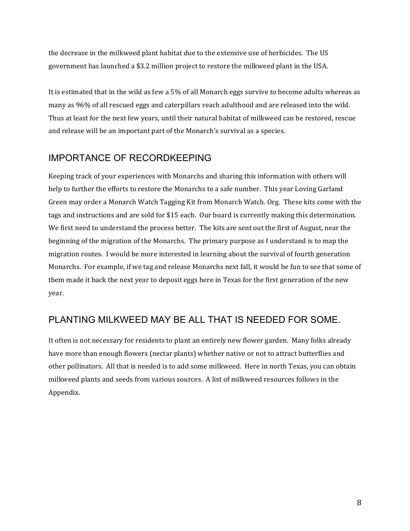the decrease in the milkweed plant habitat due to the extensive use of herbicides. The US government has launched a \$3.2 million project to restore the milkweed plant in the USA.

It is estimated that in the wild as few a 5% of all Monarch eggs survive to become adults whereas as many as 96% of all rescued eggs and caterpillars reach adulthood and are released into the wild. Thus at least for the next few years, until their natural habitat of milkweed can be restored, rescue and release will be an important part of the Monarch's survival as a species.

# IMPORTANCE OF RECORDKEEPING

Keeping track of your experiences with Monarchs and sharing this information with others will help to further the efforts to restore the Monarchs to a safe number. This year Loving Garland Green may order a Monarch Watch Tagging Kit from Monarch Watch. Org. These kits come with the tags and instructions and are sold for \$15 each. Our board is currently making this determination. We first need to understand the process better. The kits are sent out the first of August, near the beginning of the migration of the Monarchs. The primary purpose as I understand is to map the migration routes. I would be more interested in learning about the survival of fourth generation Monarchs. For example, if we tag and release Monarchs next fall, it would be fun to see that some of them made it back the next year to deposit eggs here in Texas for the first generation of the new year. 

# PLANTING MILKWEED MAY BE ALL THAT IS NEEDED FOR SOME.

It often is not necessary for residents to plant an entirely new flower garden. Many folks already have more than enough flowers (nectar plants) whether native or not to attract butterflies and other pollinators. All that is needed is to add some milkweed. Here in north Texas, you can obtain milkweed plants and seeds from various sources. A list of milkweed resources follows in the Appendix.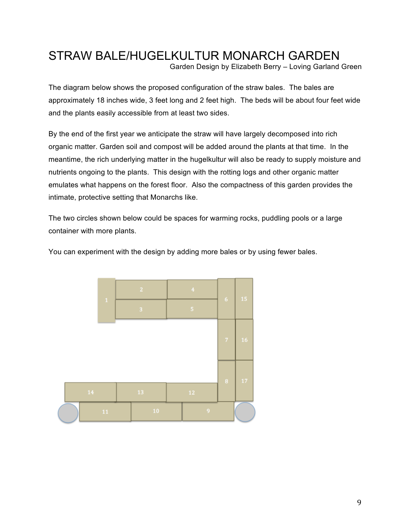# STRAW BALE/HUGELKULTUR MONARCH GARDEN

Garden Design by Elizabeth Berry – Loving Garland Green

The diagram below shows the proposed configuration of the straw bales. The bales are approximately 18 inches wide, 3 feet long and 2 feet high. The beds will be about four feet wide and the plants easily accessible from at least two sides.

By the end of the first year we anticipate the straw will have largely decomposed into rich organic matter. Garden soil and compost will be added around the plants at that time. In the meantime, the rich underlying matter in the hugelkultur will also be ready to supply moisture and nutrients ongoing to the plants. This design with the rotting logs and other organic matter emulates what happens on the forest floor. Also the compactness of this garden provides the intimate, protective setting that Monarchs like.

The two circles shown below could be spaces for warming rocks, puddling pools or a large container with more plants.

You can experiment with the design by adding more bales or by using fewer bales.

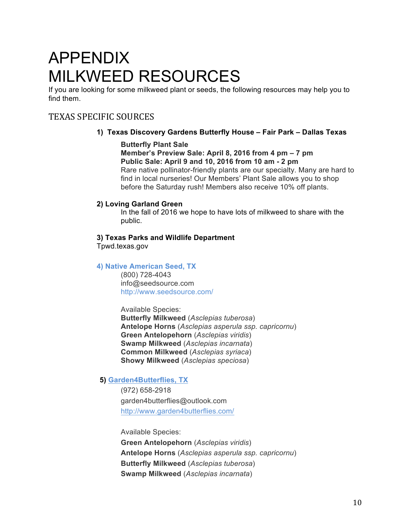# APPENDIX MILKWEED RESOURCES

If you are looking for some milkweed plant or seeds, the following resources may help you to find them.

# TEXAS SPECIFIC SOURCES

# **1) Texas Discovery Gardens Butterfly House – Fair Park – Dallas Texas**

## **Butterfly Plant Sale**

**Member's Preview Sale: April 8, 2016 from 4 pm – 7 pm Public Sale: April 9 and 10, 2016 from 10 am - 2 pm** Rare native pollinator-friendly plants are our specialty. Many are hard to find in local nurseries! Our Members' Plant Sale allows you to shop before the Saturday rush! Members also receive 10% off plants.

# **2) Loving Garland Green**

In the fall of 2016 we hope to have lots of milkweed to share with the public.

# **3) Texas Parks and Wildlife Department**

Tpwd.texas.gov

# **4) Native American Seed, TX**

(800) 728-4043 info@seedsource.com http://www.seedsource.com/

Available Species: **Butterfly Milkweed** (*Asclepias tuberosa*) **Antelope Horns** (*Asclepias asperula ssp. capricornu*) **Green Antelopehorn** (*Asclepias viridis*) **Swamp Milkweed** (*Asclepias incarnata*) **Common Milkweed** (*Asclepias syriaca*) **Showy Milkweed** (*Asclepias speciosa*)

# **5) Garden4Butterflies, TX**

(972) 658-2918 garden4butterflies@outlook.com http://www.garden4butterflies.com/

Available Species:

**Green Antelopehorn** (*Asclepias viridis*) **Antelope Horns** (*Asclepias asperula ssp. capricornu*) **Butterfly Milkweed** (*Asclepias tuberosa*) **Swamp Milkweed** (*Asclepias incarnata*)